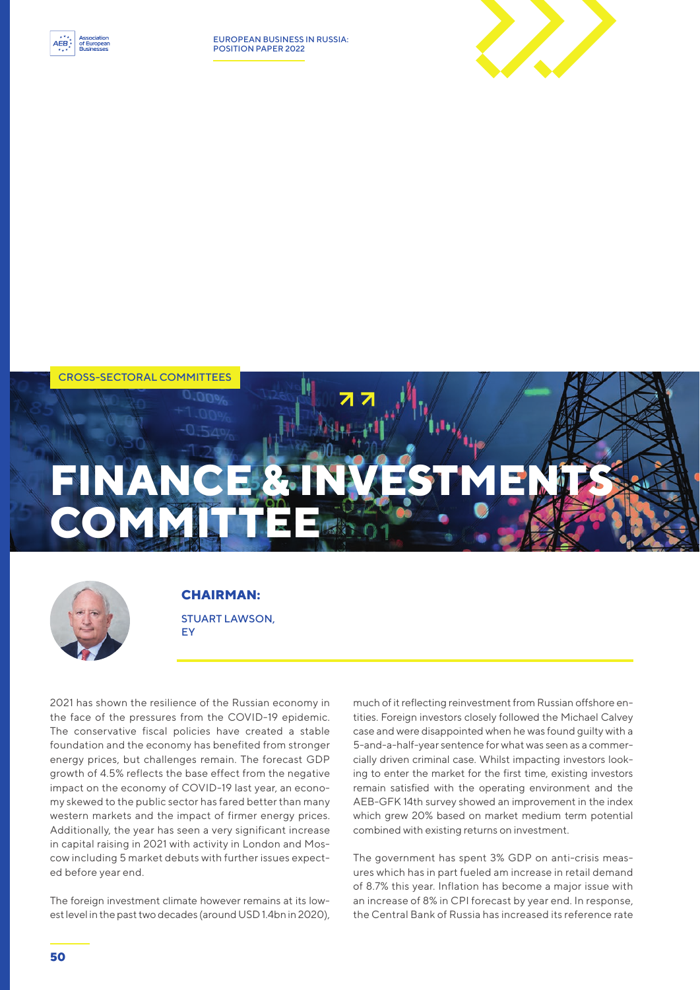

EUROPEAN BUSINESS IN RUSSIA: POSITION PAPER 2022







**CHAIRMAN:**  STUART LAWSON, EY

2021 has shown the resilience of the Russian economy in the face of the pressures from the COVID-19 epidemic. The conservative fiscal policies have created a stable foundation and the economy has benefited from stronger energy prices, but challenges remain. The forecast GDP growth of 4.5% reflects the base effect from the negative impact on the economy of COVID-19 last year, an economy skewed to the public sector has fared better than many western markets and the impact of firmer energy prices. Additionally, the year has seen a very significant increase in capital raising in 2021 with activity in London and Moscow including 5 market debuts with further issues expected before year end.

The foreign investment climate however remains at its lowest level in the past two decades (around USD 1.4bn in 2020), much of it reflecting reinvestment from Russian offshore entities. Foreign investors closely followed the Michael Calvey case and were disappointed when he was found guilty with a 5-and-a-half-year sentence for what was seen as a commercially driven criminal case. Whilst impacting investors looking to enter the market for the first time, existing investors remain satisfied with the operating environment and the AEB-GFK 14th survey showed an improvement in the index which grew 20% based on market medium term potential combined with existing returns on investment.

The government has spent 3% GDP on anti-crisis measures which has in part fueled am increase in retail demand of 8.7% this year. Inflation has become a major issue with an increase of 8% in CPI forecast by year end. In response, the Central Bank of Russia has increased its reference rate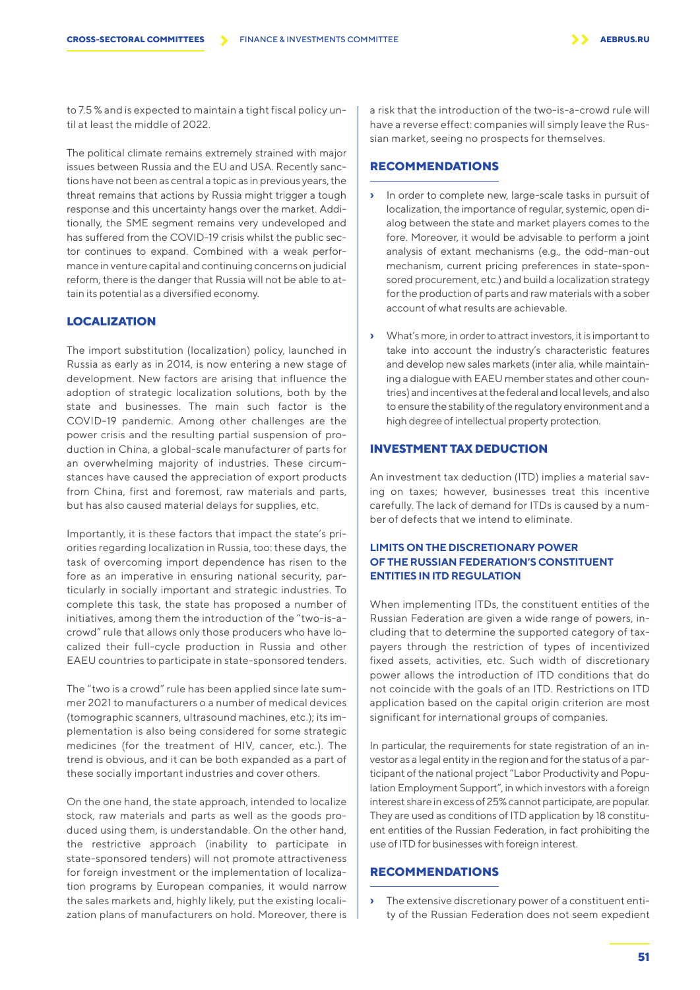to 7.5 % and is expected to maintain a tight fiscal policy until at least the middle of 2022.

The political climate remains extremely strained with major issues between Russia and the EU and USA. Recently sanctions have not been as central a topic as in previous years, the threat remains that actions by Russia might trigger a tough response and this uncertainty hangs over the market. Additionally, the SME segment remains very undeveloped and has suffered from the COVID-19 crisis whilst the public sector continues to expand. Combined with a weak performance in venture capital and continuing concerns on judicial reform, there is the danger that Russia will not be able to attain its potential as a diversified economy.

#### **LOCALIZATION**

The import substitution (localization) policy, launched in Russia as early as in 2014, is now entering a new stage of development. New factors are arising that influence the adoption of strategic localization solutions, both by the state and businesses. The main such factor is the COVID-19 pandemic. Among other challenges are the power crisis and the resulting partial suspension of production in China, a global-scale manufacturer of parts for an overwhelming majority of industries. These circumstances have caused the appreciation of export products from China, first and foremost, raw materials and parts, but has also caused material delays for supplies, etc.

Importantly, it is these factors that impact the state's priorities regarding localization in Russia, too: these days, the task of overcoming import dependence has risen to the fore as an imperative in ensuring national security, particularly in socially important and strategic industries. To complete this task, the state has proposed a number of initiatives, among them the introduction of the "two-is-acrowd" rule that allows only those producers who have localized their full-cycle production in Russia and other EAEU countries to participate in state-sponsored tenders.

The "two is a crowd" rule has been applied since late summer 2021 to manufacturers o a number of medical devices (tomographic scanners, ultrasound machines, etc.); its implementation is also being considered for some strategic medicines (for the treatment of HIV, cancer, etc.). The trend is obvious, and it can be both expanded as a part of these socially important industries and cover others.

On the one hand, the state approach, intended to localize stock, raw materials and parts as well as the goods produced using them, is understandable. On the other hand, the restrictive approach (inability to participate in state-sponsored tenders) will not promote attractiveness for foreign investment or the implementation of localization programs by European companies, it would narrow the sales markets and, highly likely, put the existing localization plans of manufacturers on hold. Moreover, there is

a risk that the introduction of the two-is-a-crowd rule will have a reverse effect: companies will simply leave the Russian market, seeing no prospects for themselves.

#### **RECOMMENDATIONS**

- **›** In order to complete new, large-scale tasks in pursuit of localization, the importance of regular, systemic, open dialog between the state and market players comes to the fore. Moreover, it would be advisable to perform a joint analysis of extant mechanisms (e.g., the odd-man-out mechanism, current pricing preferences in state-sponsored procurement, etc.) and build a localization strategy for the production of parts and raw materials with a sober account of what results are achievable.
- **›** What's more, in order to attract investors, it is important to take into account the industry's characteristic features and develop new sales markets (inter alia, while maintaining a dialogue with EAEU member states and other countries) and incentives at the federal and local levels, and also to ensure the stability of the regulatory environment and a high degree of intellectual property protection.

#### **INVESTMENT TAX DEDUCTION**

An investment tax deduction (ITD) implies a material saving on taxes; however, businesses treat this incentive carefully. The lack of demand for ITDs is caused by a number of defects that we intend to eliminate.

### **LIMITS ON THE DISCRETIONARY POWER OF THE RUSSIAN FEDERATION'S CONSTITUENT ENTITIES IN ITD REGULATION**

When implementing ITDs, the constituent entities of the Russian Federation are given a wide range of powers, including that to determine the supported category of taxpayers through the restriction of types of incentivized fixed assets, activities, etc. Such width of discretionary power allows the introduction of ITD conditions that do not coincide with the goals of an ITD. Restrictions on ITD application based on the capital origin criterion are most significant for international groups of companies.

In particular, the requirements for state registration of an investor as a legal entity in the region and for the status of a participant of the national project "Labor Productivity and Population Employment Support", in which investors with a foreign interest share in excess of 25% cannot participate, are popular. They are used as conditions of ITD application by 18 constituent entities of the Russian Federation, in fact prohibiting the use of ITD for businesses with foreign interest.

## **RECOMMENDATIONS**

**›** The extensive discretionary power of a constituent entity of the Russian Federation does not seem expedient